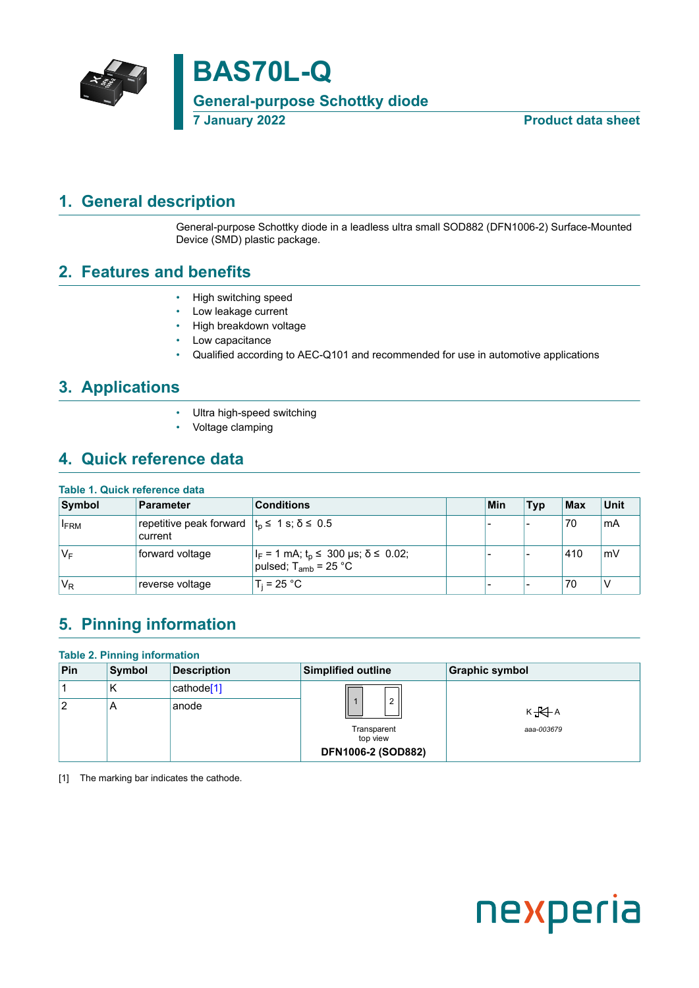

### <span id="page-0-1"></span>**1. General description**

<span id="page-0-0"></span>General-purpose Schottky diode in a leadless ultra small SOD882 (DFN1006-2) Surface-Mounted Device (SMD) plastic package.

### <span id="page-0-2"></span>**2. Features and benefits**

- High switching speed
- Low leakage current
- High breakdown voltage
- Low capacitance
- Qualified according to AEC-Q101 and recommended for use in automotive applications

### <span id="page-0-3"></span>**3. Applications**

- Ultra high-speed switching
- Voltage clamping

## <span id="page-0-4"></span>**4. Quick reference data**

#### **Table 1. Quick reference data**

| Symbol      | Parameter                                                             | <b>Conditions</b>                                                                                      | Min | <b>Typ</b> | Max | <b>Unit</b> |
|-------------|-----------------------------------------------------------------------|--------------------------------------------------------------------------------------------------------|-----|------------|-----|-------------|
| <b>IFRM</b> | repetitive peak forward $ t_0 \leq 1$ s; $\delta \leq 0.5$<br>current |                                                                                                        |     |            | 70  | mA          |
| VF          | forward voltage                                                       | $ I_F = 1 \text{ mA}; t_p \le 300 \text{ \mu s}; \delta \le 0.02;$<br>pulsed; T <sub>amb</sub> = 25 °C |     |            | 410 | mV          |
| $V_R$       | reverse voltage                                                       | $T_i = 25 °C$                                                                                          |     |            | 70  |             |

# <span id="page-0-5"></span>**5. Pinning information**

#### **Table 2. Pinning information**

| Pin | Symbol | <b>Description</b>     | <b>Simplified outline</b>                                       | <b>Graphic symbol</b> |
|-----|--------|------------------------|-----------------------------------------------------------------|-----------------------|
|     | n      | cathode <sup>[1]</sup> |                                                                 |                       |
| 2   | A      | anode                  | $\overline{2}$<br>Transparent<br>top view<br>DFN1006-2 (SOD882) | $K + A$<br>aaa-003679 |

[1] The marking bar indicates the cathode.

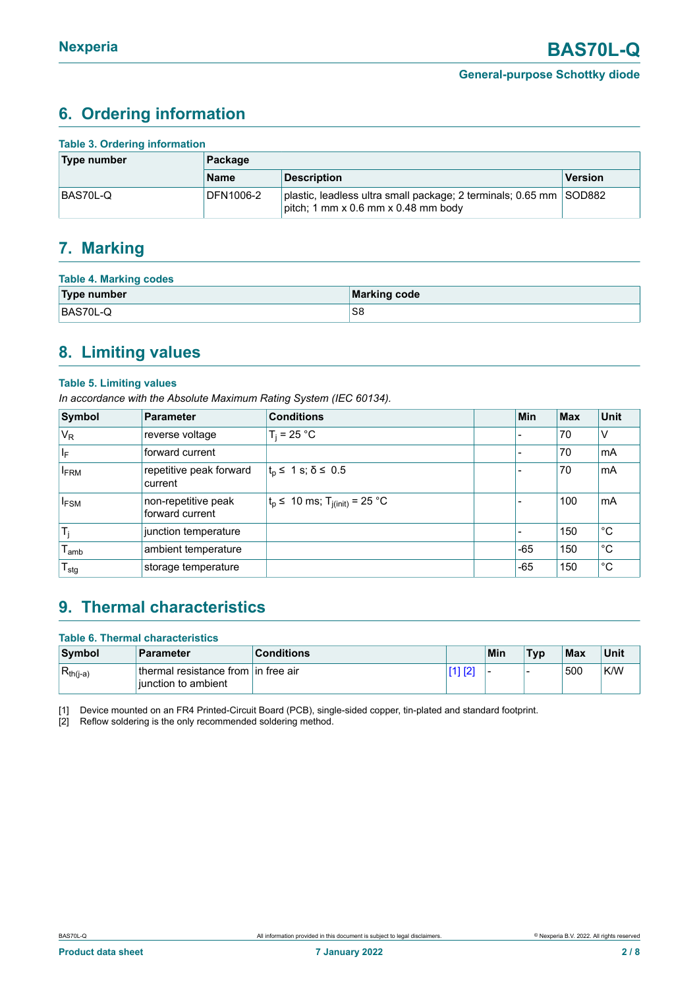## <span id="page-1-1"></span><span id="page-1-0"></span>**6. Ordering information**

| <b>Table 3. Ordering information</b> |             |                                                                                                           |                |  |  |  |
|--------------------------------------|-------------|-----------------------------------------------------------------------------------------------------------|----------------|--|--|--|
| Type number                          | Package     |                                                                                                           |                |  |  |  |
|                                      | <b>Name</b> | <b>Description</b>                                                                                        | <b>Version</b> |  |  |  |
| BAS70L-Q                             | DFN1006-2   | plastic, leadless ultra small package; 2 terminals; 0.65 mm SOD882<br>pitch; 1 mm x 0.6 mm x 0.48 mm body |                |  |  |  |

# <span id="page-1-2"></span>**7. Marking**

| <b>Table 4. Marking codes</b> |              |  |  |  |  |
|-------------------------------|--------------|--|--|--|--|
| Type number                   | Marking code |  |  |  |  |
| BAS70L-Q                      | $S\epsilon$  |  |  |  |  |

## <span id="page-1-3"></span>**8. Limiting values**

#### **Table 5. Limiting values**

*In accordance with the Absolute Maximum Rating System (IEC 60134).*

| Symbol                  | Parameter                              | <b>Conditions</b>                           | Min   | <b>Max</b> | <b>Unit</b> |
|-------------------------|----------------------------------------|---------------------------------------------|-------|------------|-------------|
| $V_R$                   | reverse voltage                        | $T_i = 25 °C$                               |       | 70         | V           |
| $\mathsf{I}_\mathsf{F}$ | forward current                        |                                             |       | 70         | mA          |
| <b>IFRM</b>             | repetitive peak forward<br>current     | $t_0 \leq 1$ s; $\delta \leq 0.5$           |       | 70         | mA          |
| $I_{FSM}$               | non-repetitive peak<br>forward current | $t_p$ ≤ 10 ms; T <sub>j(init)</sub> = 25 °C |       | 100        | mA          |
| $\mathsf{T}_\mathsf{i}$ | junction temperature                   |                                             |       | 150        | °С          |
| l <sub>amb</sub>        | ambient temperature                    |                                             | -65   | 150        | $^{\circ}C$ |
| $T_{\text{stg}}$        | storage temperature                    |                                             | $-65$ | 150        | $^{\circ}C$ |

## <span id="page-1-4"></span>**9. Thermal characteristics**

| <b>Table 6. Thermal characteristics</b> |                                                            |                   |         |     |            |     |      |
|-----------------------------------------|------------------------------------------------------------|-------------------|---------|-----|------------|-----|------|
| Symbol                                  | <b>Parameter</b>                                           | <b>Conditions</b> |         | Min | <b>Typ</b> | Max | Unit |
| $R_{th(j-a)}$                           | thermal resistance from in free air<br>iunction to ambient |                   | [1] [2] | -   | -          | 500 | K/W  |

[1] Device mounted on an FR4 Printed-Circuit Board (PCB), single-sided copper, tin-plated and standard footprint.

[2] Reflow soldering is the only recommended soldering method.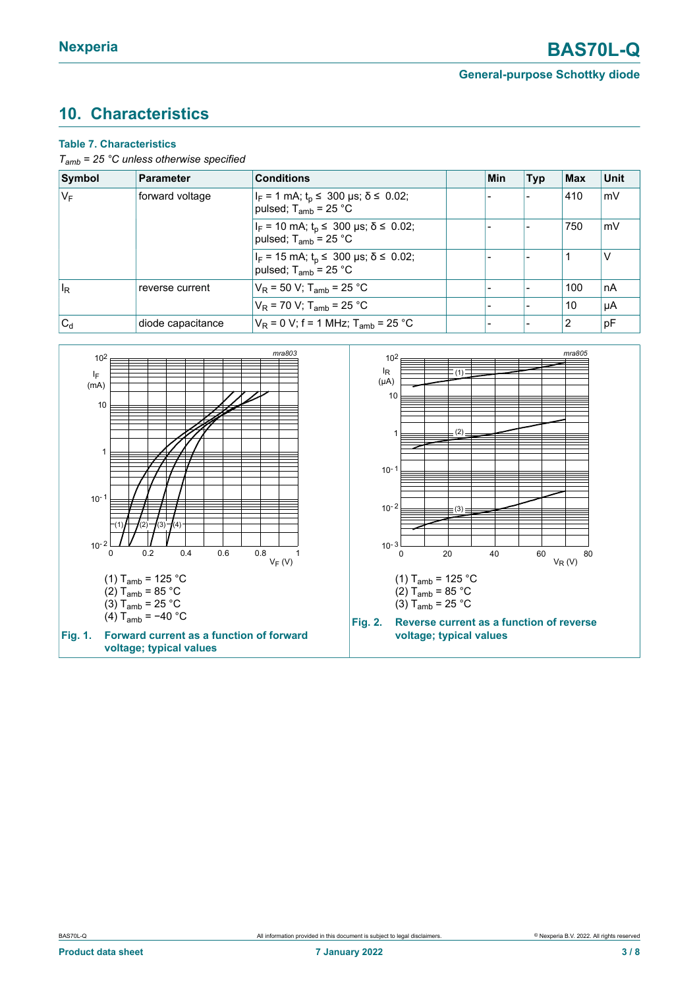**General-purpose Schottky diode**

# <span id="page-2-0"></span>**10. Characteristics**

#### **Table 7. Characteristics**

*Tamb = 25 °C unless otherwise specified*

| Symbol                    | <b>Parameter</b>  | <b>Conditions</b>                                                                    | Min | <b>Typ</b> | Max | Unit |
|---------------------------|-------------------|--------------------------------------------------------------------------------------|-----|------------|-----|------|
| $V_F$                     | forward voltage   | $ I_F = 1$ mA; $t_p \le 300$ µs; $\delta \le 0.02$ ;<br>pulsed; $T_{amb}$ = 25 °C    |     |            | 410 | mV   |
|                           |                   | $I_F$ = 10 mA; $t_p$ $\leq$ 300 µs; $\delta \leq$ 0.02;<br>pulsed; $T_{amb}$ = 25 °C |     |            | 750 | mV   |
|                           |                   | $I_F$ = 15 mA; $t_p$ ≤ 300 µs; $\delta$ ≤ 0.02;<br>pulsed; $T_{amb}$ = 25 °C         |     |            |     |      |
| $  \mathsf{l}_\mathsf{R}$ | reverse current   | $V_R$ = 50 V; T <sub>amb</sub> = 25 °C                                               |     |            | 100 | nA   |
|                           |                   | $V_R$ = 70 V; T <sub>amb</sub> = 25 °C                                               |     |            | 10  | μA   |
| $ C_d$                    | diode capacitance | $V_R = 0$ V; f = 1 MHz; T <sub>amb</sub> = 25 °C                                     |     |            | 2   | pF   |

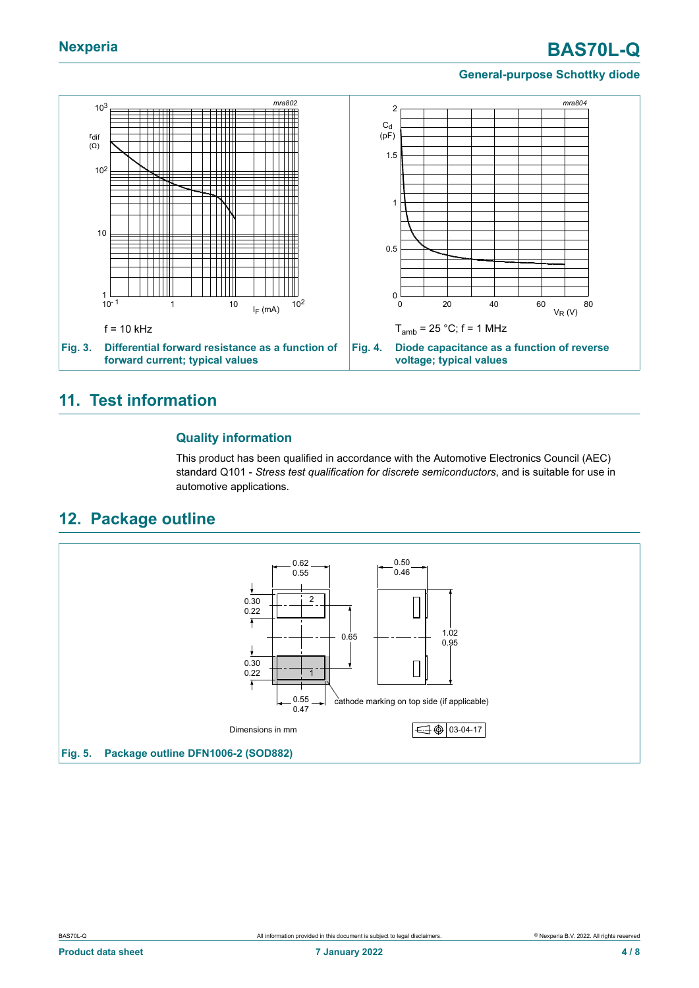# **Nexperia BAS70L-Q**

#### **General-purpose Schottky diode**



### <span id="page-3-0"></span>**11. Test information**

#### **Quality information**

This product has been qualified in accordance with the Automotive Electronics Council (AEC) standard Q101 - *Stress test qualification for discrete semiconductors*, and is suitable for use in automotive applications.

### <span id="page-3-1"></span>**12. Package outline**

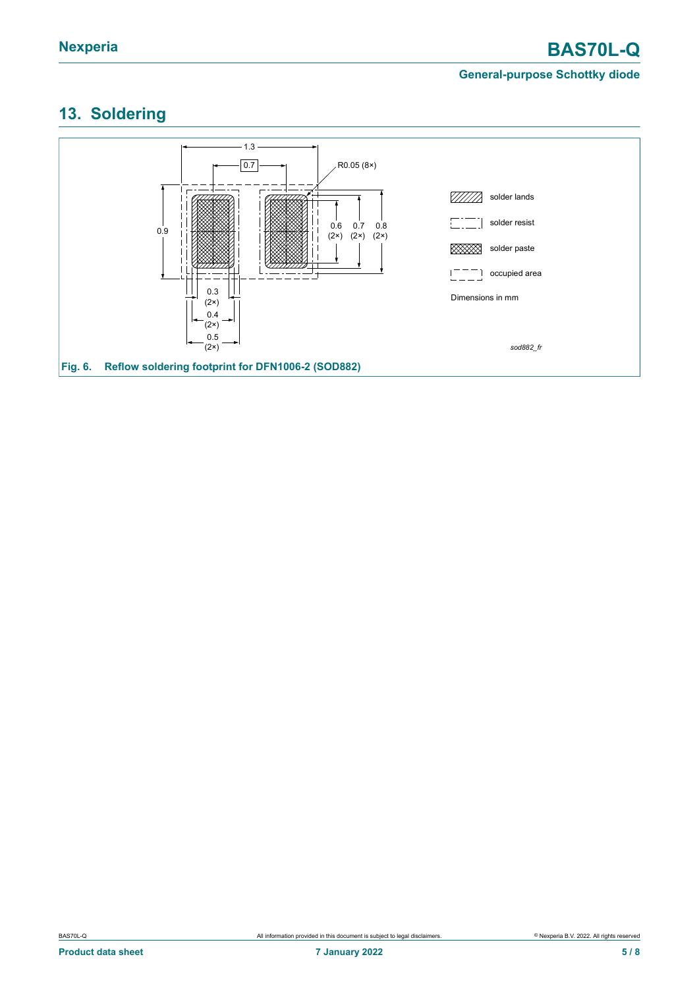#### **General-purpose Schottky diode**

# <span id="page-4-0"></span>**13. Soldering**

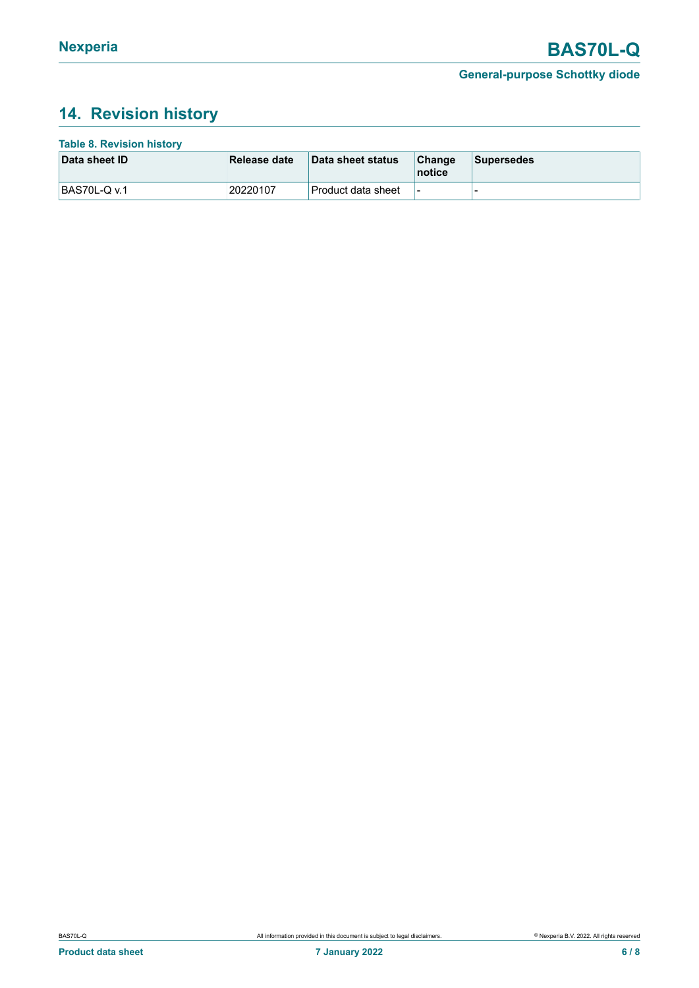# <span id="page-5-0"></span>**14. Revision history**

| <b>Table 8. Revision history</b> |              |                      |                          |            |
|----------------------------------|--------------|----------------------|--------------------------|------------|
| Data sheet ID                    | Release date | Data sheet status    | Change<br>notice         | Supersedes |
| <b>BAS70L-Q v.1</b>              | 20220107     | ∣Product data sheet_ | $\overline{\phantom{a}}$ | -          |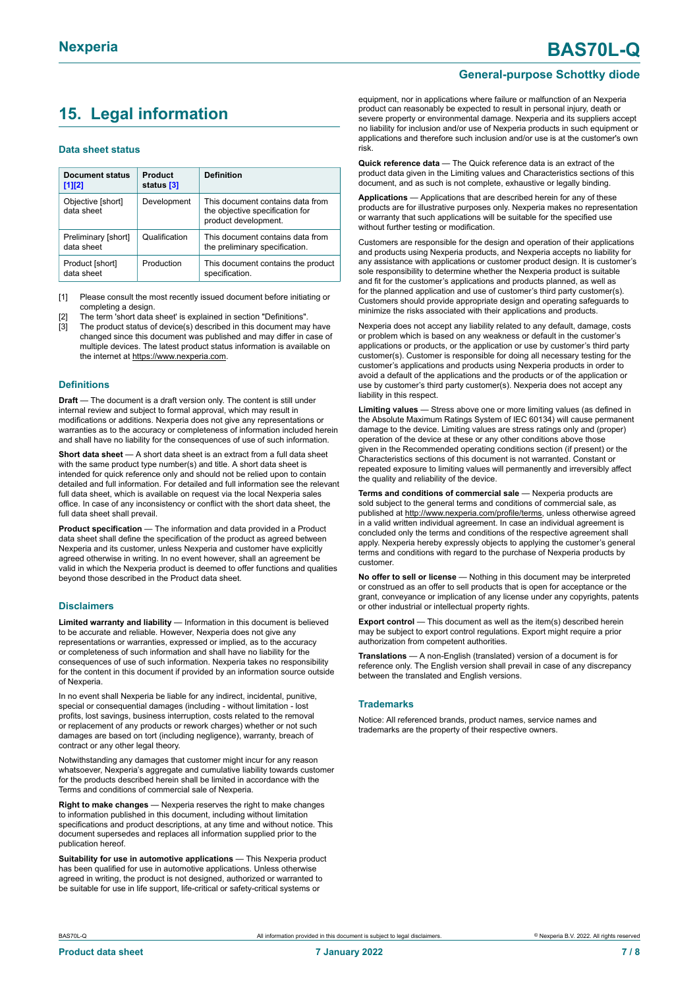# <span id="page-6-0"></span>**15. Legal information**

#### **Data sheet status**

| Document status<br>$[1]$ [2]      | Product<br>status [3] | <b>Definition</b>                                                                           |
|-----------------------------------|-----------------------|---------------------------------------------------------------------------------------------|
| Objective [short]<br>data sheet   | Development           | This document contains data from<br>the objective specification for<br>product development. |
| Preliminary [short]<br>data sheet | Qualification         | This document contains data from<br>the preliminary specification.                          |
| Product [short]<br>data sheet     | Production            | This document contains the product<br>specification.                                        |

[1] Please consult the most recently issued document before initiating or completing a design.

- The term 'short data sheet' is explained in section "Definitions"
- [3] The product status of device(s) described in this document may have changed since this document was published and may differ in case of multiple devices. The latest product status information is available on the internet at [https://www.nexperia.com.](https://www.nexperia.com)

#### **Definitions**

**Draft** — The document is a draft version only. The content is still under internal review and subject to formal approval, which may result in modifications or additions. Nexperia does not give any representations or warranties as to the accuracy or completeness of information included herein and shall have no liability for the consequences of use of such information.

**Short data sheet** — A short data sheet is an extract from a full data sheet with the same product type number(s) and title. A short data sheet is intended for quick reference only and should not be relied upon to contain detailed and full information. For detailed and full information see the relevant full data sheet, which is available on request via the local Nexperia sales office. In case of any inconsistency or conflict with the short data sheet, the full data sheet shall prevail.

**Product specification** — The information and data provided in a Product data sheet shall define the specification of the product as agreed between Nexperia and its customer, unless Nexperia and customer have explicitly agreed otherwise in writing. In no event however, shall an agreement be valid in which the Nexperia product is deemed to offer functions and qualities beyond those described in the Product data sheet.

#### **Disclaimers**

**Limited warranty and liability** — Information in this document is believed to be accurate and reliable. However, Nexperia does not give any representations or warranties, expressed or implied, as to the accuracy or completeness of such information and shall have no liability for the consequences of use of such information. Nexperia takes no responsibility for the content in this document if provided by an information source outside of Nexperia.

In no event shall Nexperia be liable for any indirect, incidental, punitive, special or consequential damages (including - without limitation - lost profits, lost savings, business interruption, costs related to the removal or replacement of any products or rework charges) whether or not such damages are based on tort (including negligence), warranty, breach of contract or any other legal theory.

Notwithstanding any damages that customer might incur for any reason whatsoever, Nexperia's aggregate and cumulative liability towards customer for the products described herein shall be limited in accordance with the Terms and conditions of commercial sale of Nexperia.

**Right to make changes** — Nexperia reserves the right to make changes to information published in this document, including without limitation specifications and product descriptions, at any time and without notice. This document supersedes and replaces all information supplied prior to the publication hereof

**Suitability for use in automotive applications** — This Nexperia product has been qualified for use in automotive applications. Unless otherwise agreed in writing, the product is not designed, authorized or warranted to be suitable for use in life support, life-critical or safety-critical systems or

equipment, nor in applications where failure or malfunction of an Nexperia product can reasonably be expected to result in personal injury, death or severe property or environmental damage. Nexperia and its suppliers accept no liability for inclusion and/or use of Nexperia products in such equipment or applications and therefore such inclusion and/or use is at the customer's own risk.

**Quick reference data** — The Quick reference data is an extract of the product data given in the Limiting values and Characteristics sections of this document, and as such is not complete, exhaustive or legally binding.

**Applications** — Applications that are described herein for any of these products are for illustrative purposes only. Nexperia makes no representation or warranty that such applications will be suitable for the specified use without further testing or modification.

Customers are responsible for the design and operation of their applications and products using Nexperia products, and Nexperia accepts no liability for any assistance with applications or customer product design. It is customer's sole responsibility to determine whether the Nexperia product is suitable and fit for the customer's applications and products planned, as well as for the planned application and use of customer's third party customer(s). Customers should provide appropriate design and operating safeguards to minimize the risks associated with their applications and products.

Nexperia does not accept any liability related to any default, damage, costs or problem which is based on any weakness or default in the customer's applications or products, or the application or use by customer's third party customer(s). Customer is responsible for doing all necessary testing for the customer's applications and products using Nexperia products in order to avoid a default of the applications and the products or of the application or use by customer's third party customer(s). Nexperia does not accept any liability in this respect.

**Limiting values** — Stress above one or more limiting values (as defined in the Absolute Maximum Ratings System of IEC 60134) will cause permanent damage to the device. Limiting values are stress ratings only and (proper) operation of the device at these or any other conditions above those given in the Recommended operating conditions section (if present) or the Characteristics sections of this document is not warranted. Constant or repeated exposure to limiting values will permanently and irreversibly affect the quality and reliability of the device.

**Terms and conditions of commercial sale** — Nexperia products are sold subject to the general terms and conditions of commercial sale, as published at [http://www.nexperia.com/profile/terms,](http://www.nexperia.com/profile/terms) unless otherwise agreed in a valid written individual agreement. In case an individual agreement is concluded only the terms and conditions of the respective agreement shall apply. Nexperia hereby expressly objects to applying the customer's general terms and conditions with regard to the purchase of Nexperia products by customer.

**No offer to sell or license** — Nothing in this document may be interpreted or construed as an offer to sell products that is open for acceptance or the grant, conveyance or implication of any license under any copyrights, patents or other industrial or intellectual property rights.

**Export control** — This document as well as the item(s) described herein may be subject to export control regulations. Export might require a prior authorization from competent authorities.

**Translations** — A non-English (translated) version of a document is for reference only. The English version shall prevail in case of any discrepancy between the translated and English versions.

#### **Trademarks**

Notice: All referenced brands, product names, service names and trademarks are the property of their respective owners.